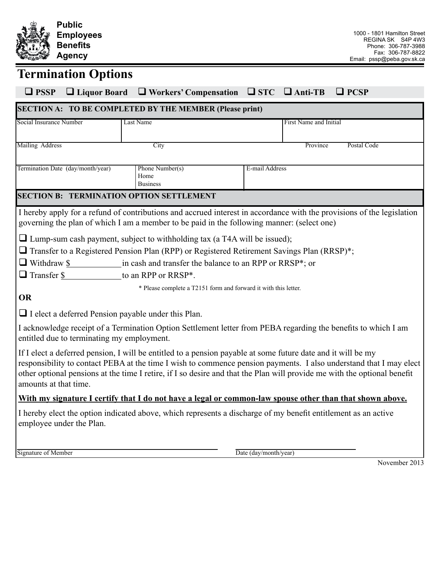

# **Termination Options**

| $\Box$ PSSP                                                                                                                                                                                                                                                                                                                                                                             |  | $\Box$ Liquor Board $\Box$ Workers' Compensation $\Box$ STC $\Box$ Anti-TB |                |                        | $\Box$ PCSP |  |  |
|-----------------------------------------------------------------------------------------------------------------------------------------------------------------------------------------------------------------------------------------------------------------------------------------------------------------------------------------------------------------------------------------|--|----------------------------------------------------------------------------|----------------|------------------------|-------------|--|--|
| <b>SECTION A: TO BE COMPLETED BY THE MEMBER (Please print)</b>                                                                                                                                                                                                                                                                                                                          |  |                                                                            |                |                        |             |  |  |
| Social Insurance Number                                                                                                                                                                                                                                                                                                                                                                 |  | Last Name                                                                  |                | First Name and Initial |             |  |  |
|                                                                                                                                                                                                                                                                                                                                                                                         |  |                                                                            |                |                        |             |  |  |
| Mailing Address<br>City<br>Province<br>Postal Code                                                                                                                                                                                                                                                                                                                                      |  |                                                                            |                |                        |             |  |  |
| Termination Date (day/month/year)                                                                                                                                                                                                                                                                                                                                                       |  | Phone Number(s)                                                            | E-mail Address |                        |             |  |  |
|                                                                                                                                                                                                                                                                                                                                                                                         |  | Home<br><b>Business</b>                                                    |                |                        |             |  |  |
| <b>SECTION B: TERMINATION OPTION SETTLEMENT</b>                                                                                                                                                                                                                                                                                                                                         |  |                                                                            |                |                        |             |  |  |
| I hereby apply for a refund of contributions and accrued interest in accordance with the provisions of the legislation                                                                                                                                                                                                                                                                  |  |                                                                            |                |                        |             |  |  |
| governing the plan of which I am a member to be paid in the following manner: (select one)                                                                                                                                                                                                                                                                                              |  |                                                                            |                |                        |             |  |  |
| $\Box$ Lump-sum cash payment, subject to withholding tax (a T4A will be issued);                                                                                                                                                                                                                                                                                                        |  |                                                                            |                |                        |             |  |  |
| $\Box$ Transfer to a Registered Pension Plan (RPP) or Registered Retirement Savings Plan (RRSP)*;                                                                                                                                                                                                                                                                                       |  |                                                                            |                |                        |             |  |  |
| $\Box$ Withdraw \$ in cash and transfer the balance to an RPP or RRSP*; or                                                                                                                                                                                                                                                                                                              |  |                                                                            |                |                        |             |  |  |
| $\Box$ Transfer \$ to an RPP or RRSP*.                                                                                                                                                                                                                                                                                                                                                  |  |                                                                            |                |                        |             |  |  |
| * Please complete a T2151 form and forward it with this letter.                                                                                                                                                                                                                                                                                                                         |  |                                                                            |                |                        |             |  |  |
| <b>OR</b>                                                                                                                                                                                                                                                                                                                                                                               |  |                                                                            |                |                        |             |  |  |
| $\Box$ I elect a deferred Pension payable under this Plan.                                                                                                                                                                                                                                                                                                                              |  |                                                                            |                |                        |             |  |  |
| I acknowledge receipt of a Termination Option Settlement letter from PEBA regarding the benefits to which I am<br>entitled due to terminating my employment.                                                                                                                                                                                                                            |  |                                                                            |                |                        |             |  |  |
| If I elect a deferred pension, I will be entitled to a pension payable at some future date and it will be my<br>responsibility to contact PEBA at the time I wish to commence pension payments. I also understand that I may elect<br>other optional pensions at the time I retire, if I so desire and that the Plan will provide me with the optional benefit<br>amounts at that time. |  |                                                                            |                |                        |             |  |  |
| With my signature I certify that I do not have a legal or common-law spouse other than that shown above.                                                                                                                                                                                                                                                                                |  |                                                                            |                |                        |             |  |  |
| I hereby elect the option indicated above, which represents a discharge of my benefit entitlement as an active                                                                                                                                                                                                                                                                          |  |                                                                            |                |                        |             |  |  |
| employee under the Plan.                                                                                                                                                                                                                                                                                                                                                                |  |                                                                            |                |                        |             |  |  |
|                                                                                                                                                                                                                                                                                                                                                                                         |  |                                                                            |                |                        |             |  |  |

Signature of Member Date (day/month/year)

November 2013